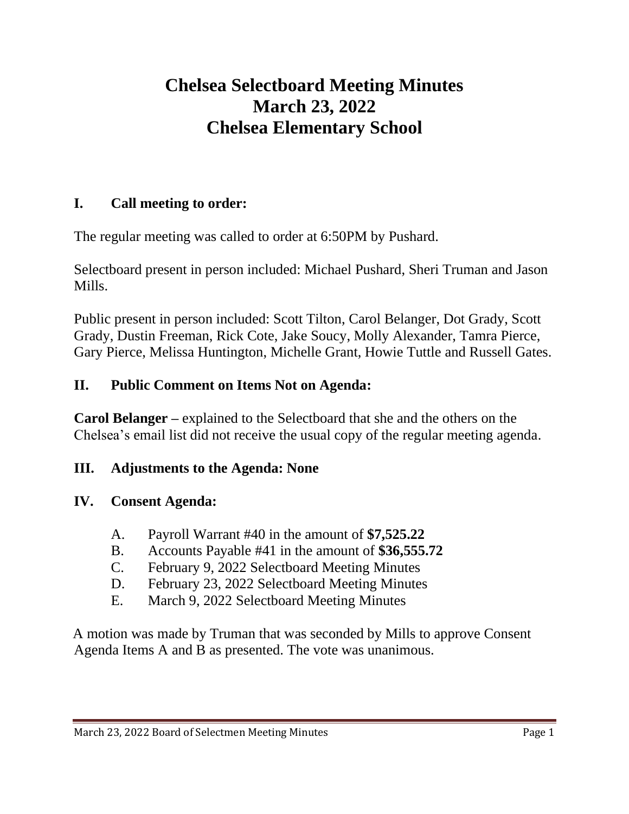# **Chelsea Selectboard Meeting Minutes March 23, 2022 Chelsea Elementary School**

#### **I. Call meeting to order:**

The regular meeting was called to order at 6:50PM by Pushard.

Selectboard present in person included: Michael Pushard, Sheri Truman and Jason Mills.

Public present in person included: Scott Tilton, Carol Belanger, Dot Grady, Scott Grady, Dustin Freeman, Rick Cote, Jake Soucy, Molly Alexander, Tamra Pierce, Gary Pierce, Melissa Huntington, Michelle Grant, Howie Tuttle and Russell Gates.

#### **II. Public Comment on Items Not on Agenda:**

**Carol Belanger –** explained to the Selectboard that she and the others on the Chelsea's email list did not receive the usual copy of the regular meeting agenda.

#### **III. Adjustments to the Agenda: None**

#### **IV. Consent Agenda:**

- A. Payroll Warrant #40 in the amount of **\$7,525.22**
- B. Accounts Payable #41 in the amount of **\$36,555.72**
- C. February 9, 2022 Selectboard Meeting Minutes
- D. February 23, 2022 Selectboard Meeting Minutes
- E. March 9, 2022 Selectboard Meeting Minutes

A motion was made by Truman that was seconded by Mills to approve Consent Agenda Items A and B as presented. The vote was unanimous.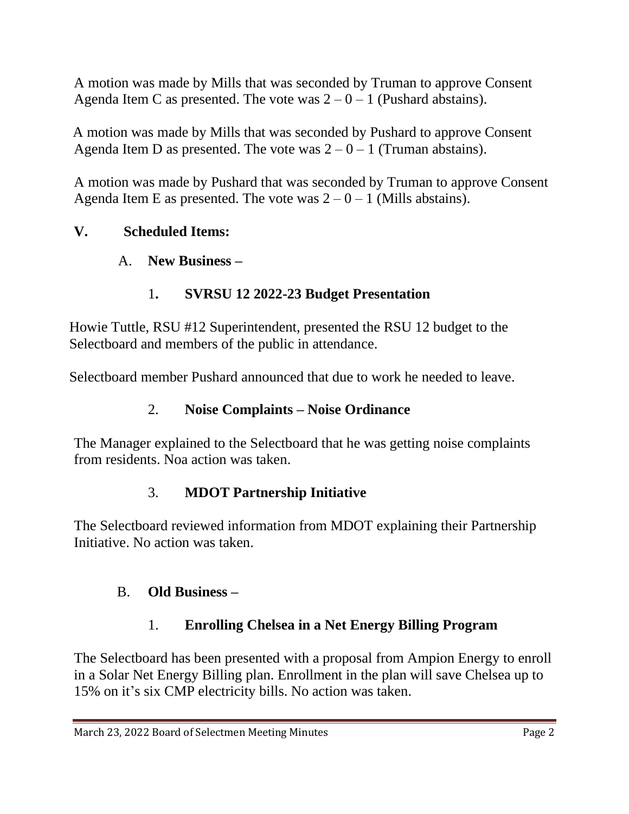A motion was made by Mills that was seconded by Truman to approve Consent Agenda Item C as presented. The vote was  $2 - 0 - 1$  (Pushard abstains).

A motion was made by Mills that was seconded by Pushard to approve Consent Agenda Item D as presented. The vote was  $2 - 0 - 1$  (Truman abstains).

A motion was made by Pushard that was seconded by Truman to approve Consent Agenda Item E as presented. The vote was  $2 - 0 - 1$  (Mills abstains).

### **V. Scheduled Items:**

### A. **New Business –**

# 1**. SVRSU 12 2022-23 Budget Presentation**

Howie Tuttle, RSU #12 Superintendent, presented the RSU 12 budget to the Selectboard and members of the public in attendance.

Selectboard member Pushard announced that due to work he needed to leave.

### 2. **Noise Complaints – Noise Ordinance**

The Manager explained to the Selectboard that he was getting noise complaints from residents. Noa action was taken.

### 3. **MDOT Partnership Initiative**

The Selectboard reviewed information from MDOT explaining their Partnership Initiative. No action was taken.

# B. **Old Business –**

# 1. **Enrolling Chelsea in a Net Energy Billing Program**

The Selectboard has been presented with a proposal from Ampion Energy to enroll in a Solar Net Energy Billing plan. Enrollment in the plan will save Chelsea up to 15% on it's six CMP electricity bills. No action was taken.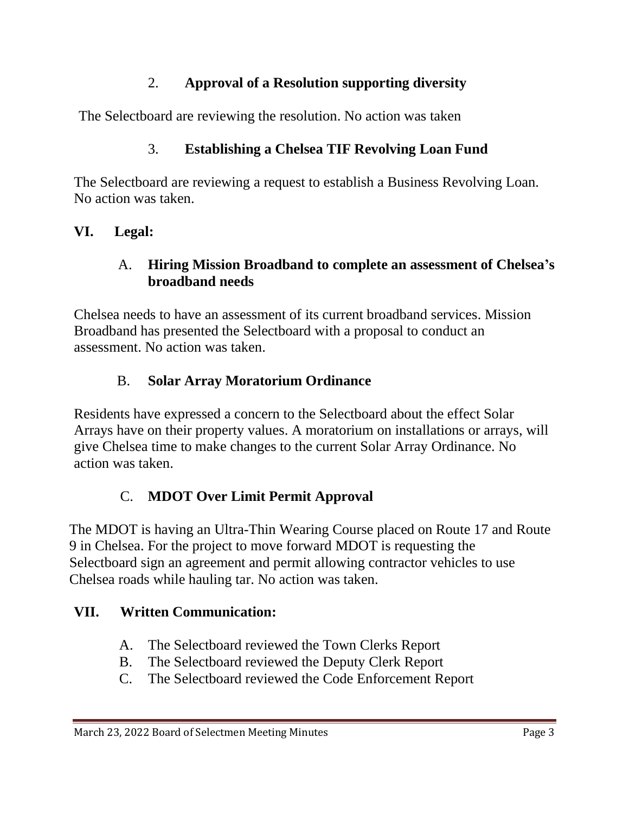### 2. **Approval of a Resolution supporting diversity**

The Selectboard are reviewing the resolution. No action was taken

# 3. **Establishing a Chelsea TIF Revolving Loan Fund**

The Selectboard are reviewing a request to establish a Business Revolving Loan. No action was taken.

### **VI. Legal:**

#### A. **Hiring Mission Broadband to complete an assessment of Chelsea's broadband needs**

Chelsea needs to have an assessment of its current broadband services. Mission Broadband has presented the Selectboard with a proposal to conduct an assessment. No action was taken.

# B. **Solar Array Moratorium Ordinance**

Residents have expressed a concern to the Selectboard about the effect Solar Arrays have on their property values. A moratorium on installations or arrays, will give Chelsea time to make changes to the current Solar Array Ordinance. No action was taken.

# C. **MDOT Over Limit Permit Approval**

The MDOT is having an Ultra-Thin Wearing Course placed on Route 17 and Route 9 in Chelsea. For the project to move forward MDOT is requesting the Selectboard sign an agreement and permit allowing contractor vehicles to use Chelsea roads while hauling tar. No action was taken.

# **VII. Written Communication:**

- A. The Selectboard reviewed the Town Clerks Report
- B. The Selectboard reviewed the Deputy Clerk Report
- C. The Selectboard reviewed the Code Enforcement Report